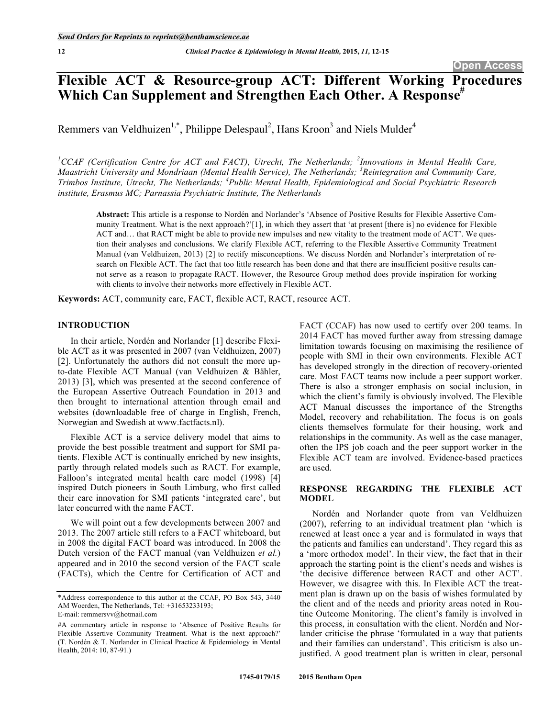# **Flexible ACT & Resource-group ACT: Different Working Procedures**  Which Can Supplement and Strengthen Each Other. A Response<sup>#</sup>

Remmers van Veldhuizen<sup>1,\*</sup>, Philippe Delespaul<sup>2</sup>, Hans Kroon<sup>3</sup> and Niels Mulder<sup>4</sup>

<sup>1</sup>CCAF (Certification Centre for ACT and FACT), Utrecht, The Netherlands; <sup>2</sup>Innovations in Mental Health Care, *Maastricht University and Mondriaan (Mental Health Service), The Netherlands; <sup>3</sup> Reintegration and Community Care, Trimbos Institute, Utrecht, The Netherlands; <sup>4</sup> Public Mental Health, Epidemiological and Social Psychiatric Research institute, Erasmus MC; Parnassia Psychiatric Institute, The Netherlands*

**Abstract:** This article is a response to Nordén and Norlander's 'Absence of Positive Results for Flexible Assertive Community Treatment. What is the next approach?'[1], in which they assert that 'at present [there is] no evidence for Flexible ACT and… that RACT might be able to provide new impulses and new vitality to the treatment mode of ACT'. We question their analyses and conclusions. We clarify Flexible ACT, referring to the Flexible Assertive Community Treatment Manual (van Veldhuizen, 2013) [2] to rectify misconceptions. We discuss Nordén and Norlander's interpretation of research on Flexible ACT. The fact that too little research has been done and that there are insufficient positive results cannot serve as a reason to propagate RACT. However, the Resource Group method does provide inspiration for working with clients to involve their networks more effectively in Flexible ACT.

**Keywords:** ACT, community care, FACT, flexible ACT, RACT, resource ACT.

### **INTRODUCTION**

In their article, Nordén and Norlander [1] describe Flexible ACT as it was presented in 2007 (van Veldhuizen, 2007) [2]. Unfortunately the authors did not consult the more upto-date Flexible ACT Manual (van Veldhuizen & Bähler, 2013) [3], which was presented at the second conference of the European Assertive Outreach Foundation in 2013 and then brought to international attention through email and websites (downloadable free of charge in English, French, Norwegian and Swedish at www.factfacts.nl).

Flexible ACT is a service delivery model that aims to provide the best possible treatment and support for SMI patients. Flexible ACT is continually enriched by new insights, partly through related models such as RACT. For example, Falloon's integrated mental health care model (1998) [4] inspired Dutch pioneers in South Limburg, who first called their care innovation for SMI patients 'integrated care', but later concurred with the name FACT.

We will point out a few developments between 2007 and 2013. The 2007 article still refers to a FACT whiteboard, but in 2008 the digital FACT board was introduced. In 2008 the Dutch version of the FACT manual (van Veldhuizen *et al.*) appeared and in 2010 the second version of the FACT scale (FACTs), which the Centre for Certification of ACT and

FACT (CCAF) has now used to certify over 200 teams. In 2014 FACT has moved further away from stressing damage limitation towards focusing on maximising the resilience of people with SMI in their own environments. Flexible ACT has developed strongly in the direction of recovery-oriented care. Most FACT teams now include a peer support worker. There is also a stronger emphasis on social inclusion, in which the client's family is obviously involved. The Flexible ACT Manual discusses the importance of the Strengths Model, recovery and rehabilitation. The focus is on goals clients themselves formulate for their housing, work and relationships in the community. As well as the case manager, often the IPS job coach and the peer support worker in the Flexible ACT team are involved. Evidence-based practices are used.

# **RESPONSE REGARDING THE FLEXIBLE ACT MODEL**

Nordén and Norlander quote from van Veldhuizen (2007), referring to an individual treatment plan 'which is renewed at least once a year and is formulated in ways that the patients and families can understand'. They regard this as a 'more orthodox model'. In their view, the fact that in their approach the starting point is the client's needs and wishes is 'the decisive difference between RACT and other ACT'. However, we disagree with this. In Flexible ACT the treatment plan is drawn up on the basis of wishes formulated by the client and of the needs and priority areas noted in Routine Outcome Monitoring. The client's family is involved in this process, in consultation with the client. Nordén and Norlander criticise the phrase 'formulated in a way that patients and their families can understand'. This criticism is also unjustified. A good treatment plan is written in clear, personal

<sup>\*</sup>Address correspondence to this author at the CCAF, PO Box 543, 3440 AM Woerden, The Netherlands, Tel: +31653233193;

E-mail: remmersvv@hotmail.com

<sup>#</sup>A commentary article in response to 'Absence of Positive Results for Flexible Assertive Community Treatment. What is the next approach?' (T. Nordén & T. Norlander in Clinical Practice & Epidemiology in Mental Health, 2014: 10, 87-91.)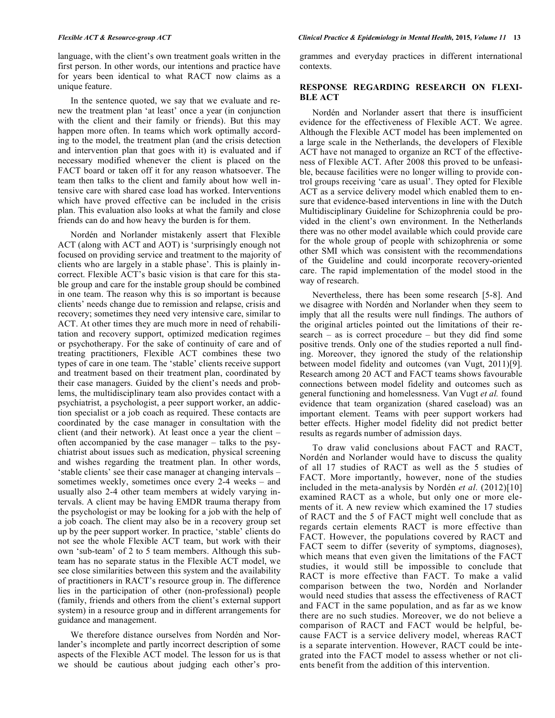language, with the client's own treatment goals written in the first person. In other words, our intentions and practice have for years been identical to what RACT now claims as a unique feature.

In the sentence quoted, we say that we evaluate and renew the treatment plan 'at least' once a year (in conjunction with the client and their family or friends). But this may happen more often. In teams which work optimally according to the model, the treatment plan (and the crisis detection and intervention plan that goes with it) is evaluated and if necessary modified whenever the client is placed on the FACT board or taken off it for any reason whatsoever. The team then talks to the client and family about how well intensive care with shared case load has worked. Interventions which have proved effective can be included in the crisis plan. This evaluation also looks at what the family and close friends can do and how heavy the burden is for them.

Nordén and Norlander mistakenly assert that Flexible ACT (along with ACT and AOT) is 'surprisingly enough not focused on providing service and treatment to the majority of clients who are largely in a stable phase'. This is plainly incorrect. Flexible ACT's basic vision is that care for this stable group and care for the instable group should be combined in one team. The reason why this is so important is because clients' needs change due to remission and relapse, crisis and recovery; sometimes they need very intensive care, similar to ACT. At other times they are much more in need of rehabilitation and recovery support, optimized medication regimes or psychotherapy. For the sake of continuity of care and of treating practitioners, Flexible ACT combines these two types of care in one team. The 'stable' clients receive support and treatment based on their treatment plan, coordinated by their case managers. Guided by the client's needs and problems, the multidisciplinary team also provides contact with a psychiatrist, a psychologist, a peer support worker, an addiction specialist or a job coach as required. These contacts are coordinated by the case manager in consultation with the client (and their network). At least once a year the client – often accompanied by the case manager – talks to the psychiatrist about issues such as medication, physical screening and wishes regarding the treatment plan. In other words, 'stable clients' see their case manager at changing intervals – sometimes weekly, sometimes once every 2-4 weeks – and usually also 2-4 other team members at widely varying intervals. A client may be having EMDR trauma therapy from the psychologist or may be looking for a job with the help of a job coach. The client may also be in a recovery group set up by the peer support worker. In practice, 'stable' clients do not see the whole Flexible ACT team, but work with their own 'sub-team' of 2 to 5 team members. Although this subteam has no separate status in the Flexible ACT model, we see close similarities between this system and the availability of practitioners in RACT's resource group in. The difference lies in the participation of other (non-professional) people (family, friends and others from the client's external support system) in a resource group and in different arrangements for guidance and management.

We therefore distance ourselves from Nordén and Norlander's incomplete and partly incorrect description of some aspects of the Flexible ACT model. The lesson for us is that we should be cautious about judging each other's programmes and everyday practices in different international contexts.

### **RESPONSE REGARDING RESEARCH ON FLEXI-BLE ACT**

Nordén and Norlander assert that there is insufficient evidence for the effectiveness of Flexible ACT. We agree. Although the Flexible ACT model has been implemented on a large scale in the Netherlands, the developers of Flexible ACT have not managed to organize an RCT of the effectiveness of Flexible ACT. After 2008 this proved to be unfeasible, because facilities were no longer willing to provide control groups receiving 'care as usual'. They opted for Flexible ACT as a service delivery model which enabled them to ensure that evidence-based interventions in line with the Dutch Multidisciplinary Guideline for Schizophrenia could be provided in the client's own environment. In the Netherlands there was no other model available which could provide care for the whole group of people with schizophrenia or some other SMI which was consistent with the recommendations of the Guideline and could incorporate recovery-oriented care. The rapid implementation of the model stood in the way of research.

Nevertheless, there has been some research [5-8]. And we disagree with Nordén and Norlander when they seem to imply that all the results were null findings. The authors of the original articles pointed out the limitations of their research – as is correct procedure – but they did find some positive trends. Only one of the studies reported a null finding. Moreover, they ignored the study of the relationship between model fidelity and outcomes (van Vugt, 2011)[9]. Research among 20 ACT and FACT teams shows favourable connections between model fidelity and outcomes such as general functioning and homelessness. Van Vugt *et al.* found evidence that team organization (shared caseload) was an important element. Teams with peer support workers had better effects. Higher model fidelity did not predict better results as regards number of admission days.

To draw valid conclusions about FACT and RACT, Nordén and Norlander would have to discuss the quality of all 17 studies of RACT as well as the 5 studies of FACT. More importantly, however, none of the studies included in the meta-analysis by Nordén *et al.* (2012)[10] examined RACT as a whole, but only one or more elements of it. A new review which examined the 17 studies of RACT and the 5 of FACT might well conclude that as regards certain elements RACT is more effective than FACT. However, the populations covered by RACT and FACT seem to differ (severity of symptoms, diagnoses), which means that even given the limitations of the FACT studies, it would still be impossible to conclude that RACT is more effective than FACT. To make a valid comparison between the two, Nordén and Norlander would need studies that assess the effectiveness of RACT and FACT in the same population, and as far as we know there are no such studies. Moreover, we do not believe a comparison of RACT and FACT would be helpful, because FACT is a service delivery model, whereas RACT is a separate intervention. However, RACT could be integrated into the FACT model to assess whether or not clients benefit from the addition of this intervention.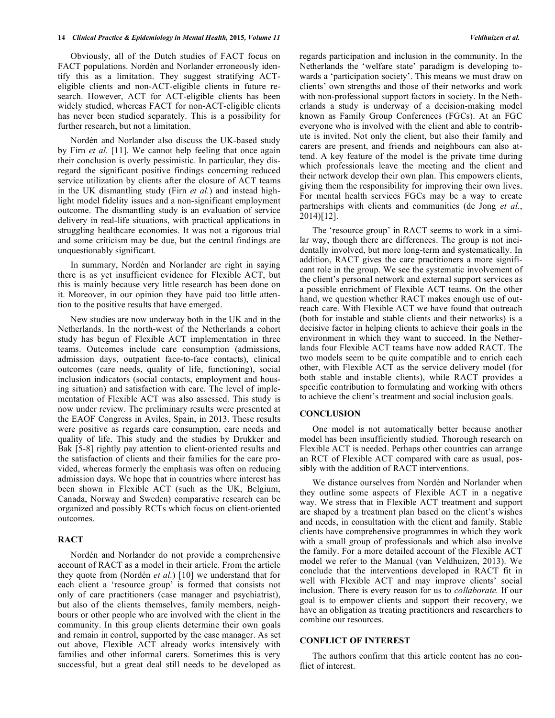Obviously, all of the Dutch studies of FACT focus on FACT populations. Nordén and Norlander erroneously identify this as a limitation. They suggest stratifying ACTeligible clients and non-ACT-eligible clients in future research. However, ACT for ACT-eligible clients has been widely studied, whereas FACT for non-ACT-eligible clients has never been studied separately. This is a possibility for further research, but not a limitation.

Nordén and Norlander also discuss the UK-based study by Firn *et al.* [11]. We cannot help feeling that once again their conclusion is overly pessimistic. In particular, they disregard the significant positive findings concerning reduced service utilization by clients after the closure of ACT teams in the UK dismantling study (Firn *et al.*) and instead highlight model fidelity issues and a non-significant employment outcome. The dismantling study is an evaluation of service delivery in real-life situations, with practical applications in struggling healthcare economies. It was not a rigorous trial and some criticism may be due, but the central findings are unquestionably significant.

In summary, Nordén and Norlander are right in saying there is as yet insufficient evidence for Flexible ACT, but this is mainly because very little research has been done on it. Moreover, in our opinion they have paid too little attention to the positive results that have emerged.

New studies are now underway both in the UK and in the Netherlands. In the north-west of the Netherlands a cohort study has begun of Flexible ACT implementation in three teams. Outcomes include care consumption (admissions, admission days, outpatient face-to-face contacts), clinical outcomes (care needs, quality of life, functioning), social inclusion indicators (social contacts, employment and housing situation) and satisfaction with care. The level of implementation of Flexible ACT was also assessed. This study is now under review. The preliminary results were presented at the EAOF Congress in Aviles, Spain, in 2013. These results were positive as regards care consumption, care needs and quality of life. This study and the studies by Drukker and Bak [5-8] rightly pay attention to client-oriented results and the satisfaction of clients and their families for the care provided, whereas formerly the emphasis was often on reducing admission days. We hope that in countries where interest has been shown in Flexible ACT (such as the UK, Belgium, Canada, Norway and Sweden) comparative research can be organized and possibly RCTs which focus on client-oriented outcomes.

# **RACT**

Nordén and Norlander do not provide a comprehensive account of RACT as a model in their article. From the article they quote from (Nordén *et al.*) [10] we understand that for each client a 'resource group' is formed that consists not only of care practitioners (case manager and psychiatrist), but also of the clients themselves, family members, neighbours or other people who are involved with the client in the community. In this group clients determine their own goals and remain in control, supported by the case manager. As set out above, Flexible ACT already works intensively with families and other informal carers. Sometimes this is very successful, but a great deal still needs to be developed as

regards participation and inclusion in the community. In the Netherlands the 'welfare state' paradigm is developing towards a 'participation society'. This means we must draw on clients' own strengths and those of their networks and work with non-professional support factors in society. In the Netherlands a study is underway of a decision-making model known as Family Group Conferences (FGCs). At an FGC everyone who is involved with the client and able to contribute is invited. Not only the client, but also their family and carers are present, and friends and neighbours can also attend. A key feature of the model is the private time during which professionals leave the meeting and the client and their network develop their own plan. This empowers clients, giving them the responsibility for improving their own lives. For mental health services FGCs may be a way to create partnerships with clients and communities (de Jong *et al.*, 2014)[12].

The 'resource group' in RACT seems to work in a similar way, though there are differences. The group is not incidentally involved, but more long-term and systematically. In addition, RACT gives the care practitioners a more significant role in the group. We see the systematic involvement of the client's personal network and external support services as a possible enrichment of Flexible ACT teams. On the other hand, we question whether RACT makes enough use of outreach care. With Flexible ACT we have found that outreach (both for instable and stable clients and their networks) is a decisive factor in helping clients to achieve their goals in the environment in which they want to succeed. In the Netherlands four Flexible ACT teams have now added RACT. The two models seem to be quite compatible and to enrich each other, with Flexible ACT as the service delivery model (for both stable and instable clients), while RACT provides a specific contribution to formulating and working with others to achieve the client's treatment and social inclusion goals.

#### **CONCLUSION**

One model is not automatically better because another model has been insufficiently studied. Thorough research on Flexible ACT is needed. Perhaps other countries can arrange an RCT of Flexible ACT compared with care as usual, possibly with the addition of RACT interventions.

We distance ourselves from Nordén and Norlander when they outline some aspects of Flexible ACT in a negative way. We stress that in Flexible ACT treatment and support are shaped by a treatment plan based on the client's wishes and needs, in consultation with the client and family. Stable clients have comprehensive programmes in which they work with a small group of professionals and which also involve the family. For a more detailed account of the Flexible ACT model we refer to the Manual (van Veldhuizen, 2013). We conclude that the interventions developed in RACT fit in well with Flexible ACT and may improve clients' social inclusion. There is every reason for us to *collaborate.* If our goal is to empower clients and support their recovery, we have an obligation as treating practitioners and researchers to combine our resources.

#### **CONFLICT OF INTEREST**

The authors confirm that this article content has no conflict of interest.